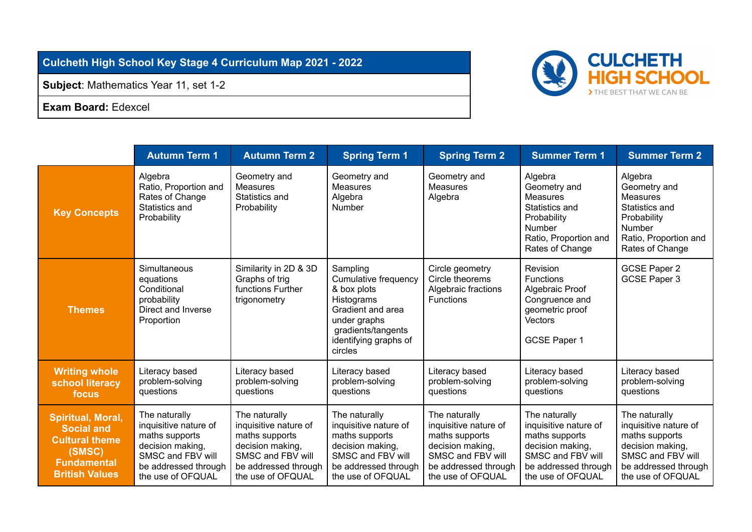## **Culcheth High School Key Stage 4 Curriculum Map 2021 - 2022**

**Subject**: Mathematics Year 11, set 1-2

**Exam Board:** Edexcel

|                                                                                                                                 | <b>Autumn Term 1</b>                                                                                                                           | <b>Autumn Term 2</b>                                                                                                                           | <b>Spring Term 1</b>                                                                                                                                                | <b>Spring Term 2</b>                                                                                                                           | <b>Summer Term 1</b>                                                                                                                           | <b>Summer Term 2</b>                                                                                                                           |
|---------------------------------------------------------------------------------------------------------------------------------|------------------------------------------------------------------------------------------------------------------------------------------------|------------------------------------------------------------------------------------------------------------------------------------------------|---------------------------------------------------------------------------------------------------------------------------------------------------------------------|------------------------------------------------------------------------------------------------------------------------------------------------|------------------------------------------------------------------------------------------------------------------------------------------------|------------------------------------------------------------------------------------------------------------------------------------------------|
| <b>Key Concepts</b>                                                                                                             | Algebra<br>Ratio, Proportion and<br>Rates of Change<br>Statistics and<br>Probability                                                           | Geometry and<br><b>Measures</b><br>Statistics and<br>Probability                                                                               | Geometry and<br><b>Measures</b><br>Algebra<br><b>Number</b>                                                                                                         | Geometry and<br><b>Measures</b><br>Algebra                                                                                                     | Algebra<br>Geometry and<br>Measures<br>Statistics and<br>Probability<br>Number<br>Ratio, Proportion and<br>Rates of Change                     | Algebra<br>Geometry and<br><b>Measures</b><br>Statistics and<br>Probability<br>Number<br>Ratio, Proportion and<br>Rates of Change              |
| <b>Themes</b>                                                                                                                   | Simultaneous<br>equations<br>Conditional<br>probability<br>Direct and Inverse<br>Proportion                                                    | Similarity in 2D & 3D<br>Graphs of trig<br>functions Further<br>trigonometry                                                                   | Sampling<br><b>Cumulative frequency</b><br>& box plots<br>Histograms<br>Gradient and area<br>under graphs<br>gradients/tangents<br>identifying graphs of<br>circles | Circle geometry<br>Circle theorems<br>Algebraic fractions<br><b>Functions</b>                                                                  | Revision<br><b>Functions</b><br>Algebraic Proof<br>Congruence and<br>geometric proof<br><b>Vectors</b><br>GCSE Paper 1                         | <b>GCSE Paper 2</b><br>GCSE Paper 3                                                                                                            |
| <b>Writing whole</b><br>school literacy<br>focus                                                                                | Literacy based<br>problem-solving<br>questions                                                                                                 | Literacy based<br>problem-solving<br>questions                                                                                                 | Literacy based<br>problem-solving<br>questions                                                                                                                      | Literacy based<br>problem-solving<br>questions                                                                                                 | Literacy based<br>problem-solving<br>questions                                                                                                 | Literacy based<br>problem-solving<br>questions                                                                                                 |
| <b>Spiritual, Moral,</b><br><b>Social and</b><br><b>Cultural theme</b><br>(SMSC)<br><b>Fundamental</b><br><b>British Values</b> | The naturally<br>inquisitive nature of<br>maths supports<br>decision making,<br>SMSC and FBV will<br>be addressed through<br>the use of OFQUAL | The naturally<br>inquisitive nature of<br>maths supports<br>decision making,<br>SMSC and FBV will<br>be addressed through<br>the use of OFQUAL | The naturally<br>inquisitive nature of<br>maths supports<br>decision making,<br>SMSC and FBV will<br>be addressed through<br>the use of OFQUAL                      | The naturally<br>inquisitive nature of<br>maths supports<br>decision making,<br>SMSC and FBV will<br>be addressed through<br>the use of OFQUAL | The naturally<br>inquisitive nature of<br>maths supports<br>decision making,<br>SMSC and FBV will<br>be addressed through<br>the use of OFQUAL | The naturally<br>inquisitive nature of<br>maths supports<br>decision making,<br>SMSC and FBV will<br>be addressed through<br>the use of OFQUAL |